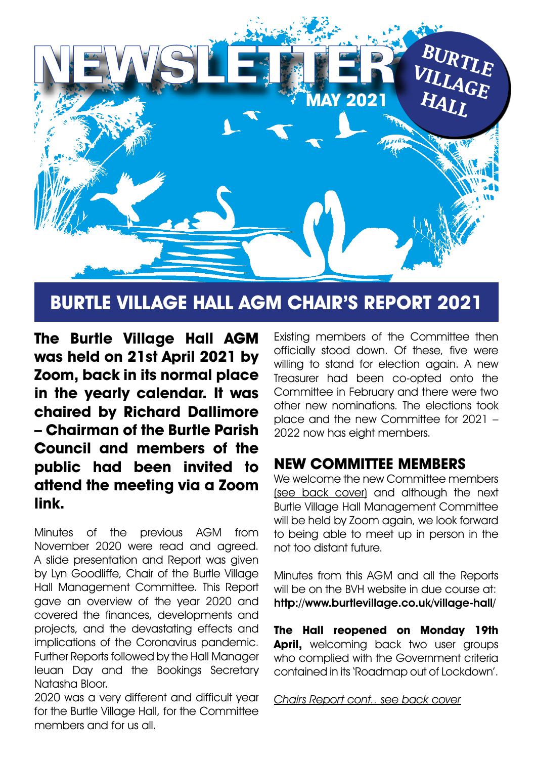

## **BURTLE VILLAGE HALL AGM CHAIR'S REPORT 2021**

**The Burtle Village Hall AGM was held on 21st April 2021 by Zoom, back in its normal place in the yearly calendar. It was chaired by Richard Dallimore – Chairman of the Burtle Parish Council and members of the public had been invited to attend the meeting via a Zoom link.**

Minutes of the previous AGM from November 2020 were read and agreed. A slide presentation and Report was given by Lyn Goodliffe, Chair of the Burtle Village Hall Management Committee. This Report gave an overview of the year 2020 and covered the finances, developments and projects, and the devastating effects and implications of the Coronavirus pandemic. Further Reports followed by the Hall Manager Ieuan Day and the Bookings Secretary Natasha Bloor.

2020 was a very different and difficult year for the Burtle Village Hall, for the Committee members and for us all.

Existing members of the Committee then officially stood down. Of these, five were willing to stand for election again. A new Treasurer had been co-opted onto the Committee in February and there were two other new nominations. The elections took place and the new Committee for 2021 – 2022 now has eight members.

## **NEW COMMITTEE MEMBERS**

We welcome the new Committee members (see back cover) and although the next Burtle Village Hall Management Committee will be held by Zoom again, we look forward to being able to meet up in person in the not too distant future.

Minutes from this AGM and all the Reports will be on the BVH website in due course at: http://www.burtlevillage.co.uk/village-hall/

**The Hall reopened on Monday 19th April,** welcoming back two user groups who complied with the Government criteria contained in its 'Roadmap out of Lockdown'.

Chairs Report cont.. see back cover